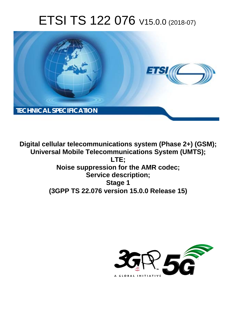# ETSI TS 122 076 V15.0.0 (2018-07)



**Digital cellular telecommunications system (Phase 2+) (GSM); Universal Mobile Telecommunications System (UMTS); LTE; Noise suppression for the AMR codec; Service description; Stage 1 (3GPP TS 22.076 version 15.0.0 Release 15)** 

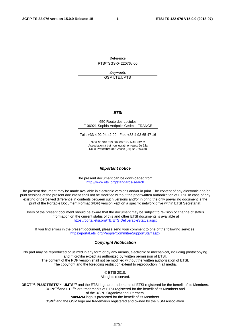Reference

RTS/TSGS-0422076vf00

Keywords GSM,LTE,UMTS

#### *ETSI*

#### 650 Route des Lucioles F-06921 Sophia Antipolis Cedex - FRANCE

Tel.: +33 4 92 94 42 00 Fax: +33 4 93 65 47 16

Siret N° 348 623 562 00017 - NAF 742 C Association à but non lucratif enregistrée à la Sous-Préfecture de Grasse (06) N° 7803/88

#### *Important notice*

The present document can be downloaded from: <http://www.etsi.org/standards-search>

The present document may be made available in electronic versions and/or in print. The content of any electronic and/or print versions of the present document shall not be modified without the prior written authorization of ETSI. In case of any existing or perceived difference in contents between such versions and/or in print, the only prevailing document is the print of the Portable Document Format (PDF) version kept on a specific network drive within ETSI Secretariat.

Users of the present document should be aware that the document may be subject to revision or change of status. Information on the current status of this and other ETSI documents is available at <https://portal.etsi.org/TB/ETSIDeliverableStatus.aspx>

If you find errors in the present document, please send your comment to one of the following services: <https://portal.etsi.org/People/CommiteeSupportStaff.aspx>

#### *Copyright Notification*

No part may be reproduced or utilized in any form or by any means, electronic or mechanical, including photocopying and microfilm except as authorized by written permission of ETSI. The content of the PDF version shall not be modified without the written authorization of ETSI. The copyright and the foregoing restriction extend to reproduction in all media.

> © ETSI 2018. All rights reserved.

**DECT**TM, **PLUGTESTS**TM, **UMTS**TM and the ETSI logo are trademarks of ETSI registered for the benefit of its Members. **3GPP**TM and **LTE**TM are trademarks of ETSI registered for the benefit of its Members and of the 3GPP Organizational Partners. **oneM2M** logo is protected for the benefit of its Members.

**GSM**® and the GSM logo are trademarks registered and owned by the GSM Association.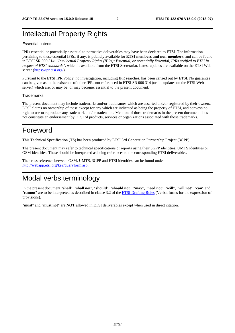### Intellectual Property Rights

#### Essential patents

IPRs essential or potentially essential to normative deliverables may have been declared to ETSI. The information pertaining to these essential IPRs, if any, is publicly available for **ETSI members and non-members**, and can be found in ETSI SR 000 314: *"Intellectual Property Rights (IPRs); Essential, or potentially Essential, IPRs notified to ETSI in respect of ETSI standards"*, which is available from the ETSI Secretariat. Latest updates are available on the ETSI Web server ([https://ipr.etsi.org/\)](https://ipr.etsi.org/).

Pursuant to the ETSI IPR Policy, no investigation, including IPR searches, has been carried out by ETSI. No guarantee can be given as to the existence of other IPRs not referenced in ETSI SR 000 314 (or the updates on the ETSI Web server) which are, or may be, or may become, essential to the present document.

#### **Trademarks**

The present document may include trademarks and/or tradenames which are asserted and/or registered by their owners. ETSI claims no ownership of these except for any which are indicated as being the property of ETSI, and conveys no right to use or reproduce any trademark and/or tradename. Mention of those trademarks in the present document does not constitute an endorsement by ETSI of products, services or organizations associated with those trademarks.

### Foreword

This Technical Specification (TS) has been produced by ETSI 3rd Generation Partnership Project (3GPP).

The present document may refer to technical specifications or reports using their 3GPP identities, UMTS identities or GSM identities. These should be interpreted as being references to the corresponding ETSI deliverables.

The cross reference between GSM, UMTS, 3GPP and ETSI identities can be found under [http://webapp.etsi.org/key/queryform.asp.](http://webapp.etsi.org/key/queryform.asp)

### Modal verbs terminology

In the present document "**shall**", "**shall not**", "**should**", "**should not**", "**may**", "**need not**", "**will**", "**will not**", "**can**" and "**cannot**" are to be interpreted as described in clause 3.2 of the [ETSI Drafting Rules](https://portal.etsi.org/Services/editHelp!/Howtostart/ETSIDraftingRules.aspx) (Verbal forms for the expression of provisions).

"**must**" and "**must not**" are **NOT** allowed in ETSI deliverables except when used in direct citation.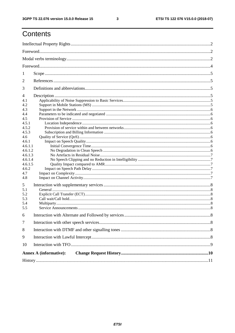$\mathbf{3}$ 

# Contents

| 1       |                               |  |  |  |  |  |
|---------|-------------------------------|--|--|--|--|--|
| 2       |                               |  |  |  |  |  |
| 3       |                               |  |  |  |  |  |
| 4       |                               |  |  |  |  |  |
| 4.1     |                               |  |  |  |  |  |
| 4.2     |                               |  |  |  |  |  |
| 4.3     |                               |  |  |  |  |  |
| 4.4     |                               |  |  |  |  |  |
| 4.5     |                               |  |  |  |  |  |
| 4.5.1   |                               |  |  |  |  |  |
| 4.5.2   |                               |  |  |  |  |  |
| 4.5.3   |                               |  |  |  |  |  |
| 4.6     |                               |  |  |  |  |  |
| 4.6.1   |                               |  |  |  |  |  |
| 4.6.1.1 |                               |  |  |  |  |  |
| 4.6.1.2 |                               |  |  |  |  |  |
| 4.6.1.3 |                               |  |  |  |  |  |
| 4.6.1.4 |                               |  |  |  |  |  |
| 4.6.1.5 |                               |  |  |  |  |  |
| 4.6.2   |                               |  |  |  |  |  |
| 4.7     |                               |  |  |  |  |  |
| 4.8     |                               |  |  |  |  |  |
| 5       |                               |  |  |  |  |  |
| 5.1     |                               |  |  |  |  |  |
| 5.2     |                               |  |  |  |  |  |
| 5.3     |                               |  |  |  |  |  |
| 5.4     |                               |  |  |  |  |  |
| 5.5     |                               |  |  |  |  |  |
| 6       |                               |  |  |  |  |  |
| $\tau$  |                               |  |  |  |  |  |
| 8       |                               |  |  |  |  |  |
| 9       |                               |  |  |  |  |  |
| 10      |                               |  |  |  |  |  |
|         | <b>Annex A (informative):</b> |  |  |  |  |  |
|         |                               |  |  |  |  |  |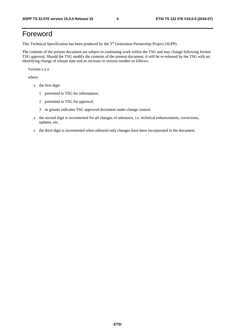# Foreword

This Technical Specification has been produced by the 3rd Generation Partnership Project (3GPP).

The contents of the present document are subject to continuing work within the TSG and may change following formal TSG approval. Should the TSG modify the contents of the present document, it will be re-released by the TSG with an identifying change of release date and an increase in version number as follows:

Version x.y.z

where:

- x the first digit:
	- 1 presented to TSG for information;
	- 2 presented to TSG for approval;
	- 3 or greater indicates TSG approved document under change control.
- y the second digit is incremented for all changes of substance, i.e. technical enhancements, corrections, updates, etc.
- z the third digit is incremented when editorial only changes have been incorporated in the document.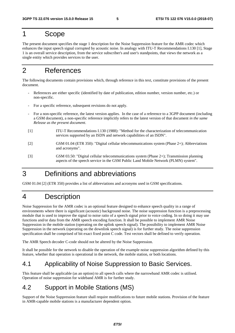### 1 Scope

The present document specifies the stage 1 description for the Noise Suppression feature for the AMR codec which enhances the input speech signal corrupted by acoustic noise. In analogy with ITU-T Recommendations I.130 [1], Stage 1 is an overall service description, from the service subscriber's and user's standpoints, that views the network as a single entity which provides services to the user.

## 2 References

The following documents contain provisions which, through reference in this text, constitute provisions of the present document.

- References are either specific (identified by date of publication, edition number, version number, etc.) or non-specific.
- For a specific reference, subsequent revisions do not apply.
- For a non-specific reference, the latest version applies. In the case of a reference to a 3GPP document (including a GSM document), a non-specific reference implicitly refers to the latest version of that document *in the same Release as the present document*.
- [1] ITU-T Recommendations I.130 (1988): "Method for the characterization of telecommunication services supported by an ISDN and network capabilities of an ISDN".
- [2] GSM 01.04 (ETR 350): "Digital cellular telecommunications system (Phase 2+); Abbreviations and acronyms".
- [3] GSM 03.50: "Digital cellular telecommunications system (Phase 2+); Transmission planning aspects of the speech service in the GSM Public Land Mobile Network (PLMN) system".

### 3 Definitions and abbreviations

GSM 01.04 [2] (ETR 350) provides a list of abbreviations and acronyms used in GSM specifications.

### 4 Description

Noise Suppression for the AMR codec is an optional feature designed to enhance speech quality in a range of environments where there is significant (acoustic) background noise. The noise suppression function is a preprocessing module that is used to improve the signal to noise ratio of a speech signal prior to voice coding. In so doing it may use functions and/or data from the AMR speech encoding function. It shall be possible to implement AMR Noise Suppression in the mobile station (operating on the uplink speech signal). The possibility to implement AMR Noise Suppression in the network (operating on the downlink speech signal) is for further study. The noise suppression specification shall be comprised of bit exact fixed point C code. Test vectors shall be defined to verify operation.

The AMR Speech decoder C-code should not be altered by the Noise Suppression.

It shall be possible for the network to disable the operation of the example noise suppression algorithm defined by this feature, whether that operation is operational in the network, the mobile station, or both locations.

### 4.1 Applicability of Noise Suppression to Basic Services.

This feature shall be applicable (as an option) to all speech calls where the narrowband AMR codec is utilised. Operation of noise suppression for wideband AMR is for further study.

### 4.2 Support in Mobile Stations (MS)

Support of the Noise Suppression feature shall require modifications to future mobile stations. Provision of the feature in AMR-capable mobile stations is a manufacturer dependent option.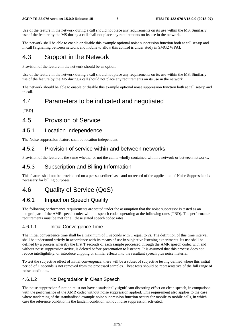Use of the feature in the network during a call should not place any requirements on its use within the MS. Similarly, use of the feature by the MS during a call shall not place any requirements on its use in the network.

The network shall be able to enable or disable this example optional noise suppression function both at call set-up and in call [Signalling between network and mobile to allow this control is under study in SMG2 WPA].

### 4.3 Support in the Network

Provision of the feature in the network should be an option.

Use of the feature in the network during a call should not place any requirements on its use within the MS. Similarly, use of the feature by the MS during a call should not place any requirements on its use in the network.

The network should be able to enable or disable this example optional noise suppression function both at call set-up and in call.

### 4.4 Parameters to be indicated and negotiated

[TBD]

### 4.5 Provision of Service

#### 4.5.1 Location Independence

The Noise suppression feature shall be location independent.

#### 4.5.2 Provision of service within and between networks

Provision of the feature is the same whether or not the call is wholly contained within a network or between networks.

#### 4.5.3 Subscription and Billing Information

This feature shall not be provisioned on a per-subscriber basis and no record of the application of Noise Suppression is necessary for billing purposes.

### 4.6 Quality of Service (QoS)

### 4.6.1 Impact on Speech Quality

The following performance requirements are stated under the assumption that the noise suppressor is tested as an integral part of the AMR speech codec with the speech codec operating at the following rates [TBD]. The performance requirements must be met for all these stated speech codec rates.

#### 4.6.1.1 Initial Convergence Time

The initial convergence time shall be a maximum of T seconds with T equal to 2s. The definition of this time interval shall be understood strictly in accordance with its means of use in subjective listening experiments. Its use shall be defined by a process whereby the first T seconds of each sample processed through the AMR speech codec with and without noise suppression active, is deleted before presentation to listeners. It is assumed that this process does not reduce intelligibility, or introduce clipping or similar effects into the resultant speech plus noise material.

To test the subjective effect of initial convergence, there will be a subset of subjective testing defined where this initial period of T seconds is not removed from the processed samples. These tests should be representative of the full range of noise conditions.

#### 4.6.1.2 No Degradation in Clean Speech

The noise suppression function must not have a statistically significant distorting effect on clean speech, in comparison with the performance of the AMR codec without noise suppression applied. This requirement also applies to the case where tandeming of the standardised example noise suppression function occurs for mobile to mobile calls, in which case the reference condition is the tandem condition without noise suppression activated.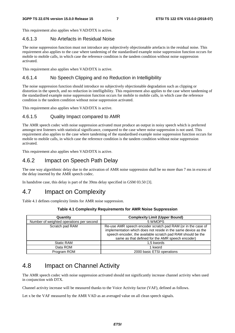This requirement also applies when VAD/DTX is active.

#### 4.6.1.3 No Artefacts in Residual Noise

The noise suppression function must not introduce any subjectively objectionable artefacts in the residual noise. This requirement also applies to the case where tandeming of the standardised example noise suppression function occurs for mobile to mobile calls, in which case the reference condition is the tandem condition without noise suppression activated.

This requirement also applies when VAD/DTX is active.

#### 4.6.1.4 No Speech Clipping and no Reduction in Intelligibility

The noise suppression function should introduce no subjectively objectionable degradation such as clipping or distortion in the speech, and no reduction in intelligibility. This requirement also applies to the case where tandeming of the standardised example noise suppression function occurs for mobile to mobile calls, in which case the reference condition is the tandem condition without noise suppression activated.

This requirement also applies when VAD/DTX is active.

#### 4.6.1.5 Quality Impact compared to AMR

The AMR speech codec with noise suppression activated must produce an output in noisy speech which is preferred amongst test listeners with statistical significance, compared to the case where noise suppression is not used. This requirement also applies to the case where tandeming of the standardised example noise suppression function occurs for mobile to mobile calls, in which case the reference condition is the tandem condition without noise suppression activated.

This requirement also applies when VAD/DTX is active.

#### 4.6.2 Impact on Speech Path Delay

The one way algorithmic delay due to the activation of AMR noise suppression shall be no more than 7 ms in excess of the delay inserted by the AMR speech codec.

In handsfree case, this delay is part of the 39ms delay specified in GSM 03.50 [3].

### 4.7 Impact on Complexity

Table 4.1 defines complexity limits for AMR noise suppression.

|  |  | Table 4.1 Complexity Requirements for AMR Noise Suppression |
|--|--|-------------------------------------------------------------|
|--|--|-------------------------------------------------------------|

| Quantity                                 | <b>Complexity Limit (Upper Bound)</b>                                                                                                                                                                                                             |  |  |
|------------------------------------------|---------------------------------------------------------------------------------------------------------------------------------------------------------------------------------------------------------------------------------------------------|--|--|
| Number of weighted operations per second | 5 WMOPS                                                                                                                                                                                                                                           |  |  |
| Scratch pad RAM                          | Re-use AMR speech encoder scratch pad RAM (or in the case of<br>implementation which does not reside in the same device as the<br>speech encoder, the available scratch pad RAM should be the<br>same as that defined for the AMR speech encoder) |  |  |
| <b>Static RAM</b>                        | 1.5 kwords                                                                                                                                                                                                                                        |  |  |
| Data ROM                                 | 1 kword                                                                                                                                                                                                                                           |  |  |
| Program ROM                              | 2000 basic ETSI operations                                                                                                                                                                                                                        |  |  |

### 4.8 Impact on Channel Activity

The AMR speech codec with noise suppression activated should not significantly increase channel activity when used in conjunction with DTX.

Channel activity increase will be measured thanks to the Voice Activity factor (VAF), defined as follows.

Let x be the VAF measured by the AMR VAD as an averaged value on all clean speech signals.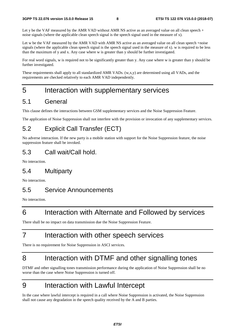Let y be the VAF measured by the AMR VAD without AMR NS active as an averaged value on all clean speech + noise signals (where the applicable clean speech signal is the speech signal used in the measure of x).

Let w be the VAF measured by the AMR VAD with AMR NS active as an averaged value on all clean speech +noise signals (where the applicable clean speech signal is the speech signal used in the measure of x). w is required to be less than the maximum of y and x. Any case where w is greater than y should be further investigated.

For real word signals, w is required not to be significantly greater than y. Any case where w is greater than y should be further investigated.

These requirements shall apply to all standardized AMR VADs. (w,x,y) are determined using all VADs, and the requirements are checked relatively to each AMR VAD independently.

# 5 Interaction with supplementary services

### 5.1 General

This clause defines the interactions between GSM supplementary services and the Noise Suppression Feature.

The application of Noise Suppression shall not interfere with the provision or invocation of any supplementary services.

### 5.2 Explicit Call Transfer (ECT)

No adverse interaction. If the new party is a mobile station with support for the Noise Suppression feature, the noise suppression feature shall be invoked.

### 5.3 Call wait/Call hold.

No interaction.

### 5.4 Multiparty

No interaction.

### 5.5 Service Announcements

No interaction.

# 6 Interaction with Alternate and Followed by services

There shall be no impact on data transmission due the Noise Suppression Feature.

# 7 Interaction with other speech services

There is no requirement for Noise Suppression in ASCI services.

# 8 Interaction with DTMF and other signalling tones

DTMF and other signalling tones transmission performance during the application of Noise Suppression shall be no worse than the case where Noise Suppression is turned off.

# 9 Interaction with Lawful Intercept

In the case where lawful intercept is required in a call where Noise Suppression is activated, the Noise Suppression shall not cause any degradation in the speech quality received by the A and B parties.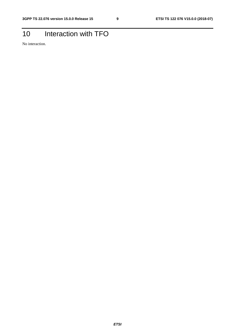# 10 Interaction with TFO

No interaction.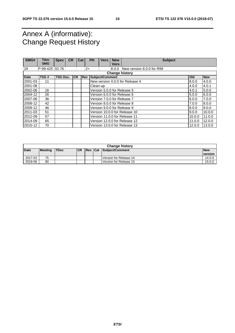## Annex A (informative): Change Request History

| SMG#    | Tdoc<br><b>SMG</b>    | <b>Spec</b>     | <b>CR</b> | Cat       |            | <b>PH</b> | <b>Vers</b>     | <b>New</b><br><b>Vers</b> | <b>Subject</b>                  |            |            |
|---------|-----------------------|-----------------|-----------|-----------|------------|-----------|-----------------|---------------------------|---------------------------------|------------|------------|
| 29      | $P-99-425 02.76$      |                 |           |           | $2+$       |           |                 | 8.0.0                     | New version 8.0.0 for R99       |            |            |
|         | <b>Change history</b> |                 |           |           |            |           |                 |                           |                                 |            |            |
| Date    | TSG#                  | <b>TSG Doc.</b> |           | <b>CR</b> | <b>Rev</b> |           | Subject/Comment |                           |                                 | <b>Old</b> | <b>New</b> |
| 2001-03 | 11                    |                 |           |           |            |           |                 |                           | New version 4.0.0 for Release 4 | 8.0.0      | 4.0.0      |
| 2001-08 |                       |                 |           |           |            | Clean-up  |                 |                           |                                 | 4.0.0      | 4.0.1      |
| 2002-06 | 16                    |                 |           |           |            |           |                 |                           | Version 5.0.0 for Release 5     | 4.0.1      | 5.0.0      |
| 2004-12 | 26                    |                 |           |           |            |           |                 |                           | Version 6.0.0 for Release 6     | 5.0.0      | 6.0.0      |
| 2007-06 | 36                    |                 |           |           |            |           |                 |                           | Version 7.0.0 for Release 7     | 6.0.0      | 7.0.0      |
| 2008-12 | 42                    |                 |           |           |            |           |                 |                           | Version 8.0.0 for Release 8     | 7.0.0      | 8.0.0      |
| 2009-12 | 46                    |                 |           |           |            |           |                 |                           | Version 9.0.0 for Release 9     | 8.0.0      | 9.0.0      |
| 2011-03 | 51                    |                 |           |           |            |           |                 |                           | Version 10.0.0 for Release 10   | 9.0.0      | 10.0.0     |
| 2012-09 | 57                    |                 |           |           |            |           |                 |                           | Version 11.0.0 for Release 11   | 10.0.0     | 11.0.0     |
| 2014-09 | 65                    |                 |           |           |            |           |                 |                           | Version 12.0.0 for Release 12   | 11.0.0     | 12.0.0     |
| 2015-12 | 70                    |                 |           |           |            |           |                 |                           | Version 13.0.0 for Release 13   | 12.0.0     | 13.0.0     |

|             | <b>Change history</b> |             |           |  |  |                                |                |  |  |
|-------------|-----------------------|-------------|-----------|--|--|--------------------------------|----------------|--|--|
| <b>Date</b> | <b>Meeting</b>        | <b>TDoc</b> | <b>CR</b> |  |  | <b>Rev Cat Subiect/Comment</b> | <b>New</b>     |  |  |
|             |                       |             |           |  |  |                                | <b>version</b> |  |  |
| 2017-03     | 75                    |             |           |  |  | Version for Release 14         | 14.0.0         |  |  |
| 2018-06     | 80                    |             |           |  |  | Version for Release 15         | 15.0.0         |  |  |